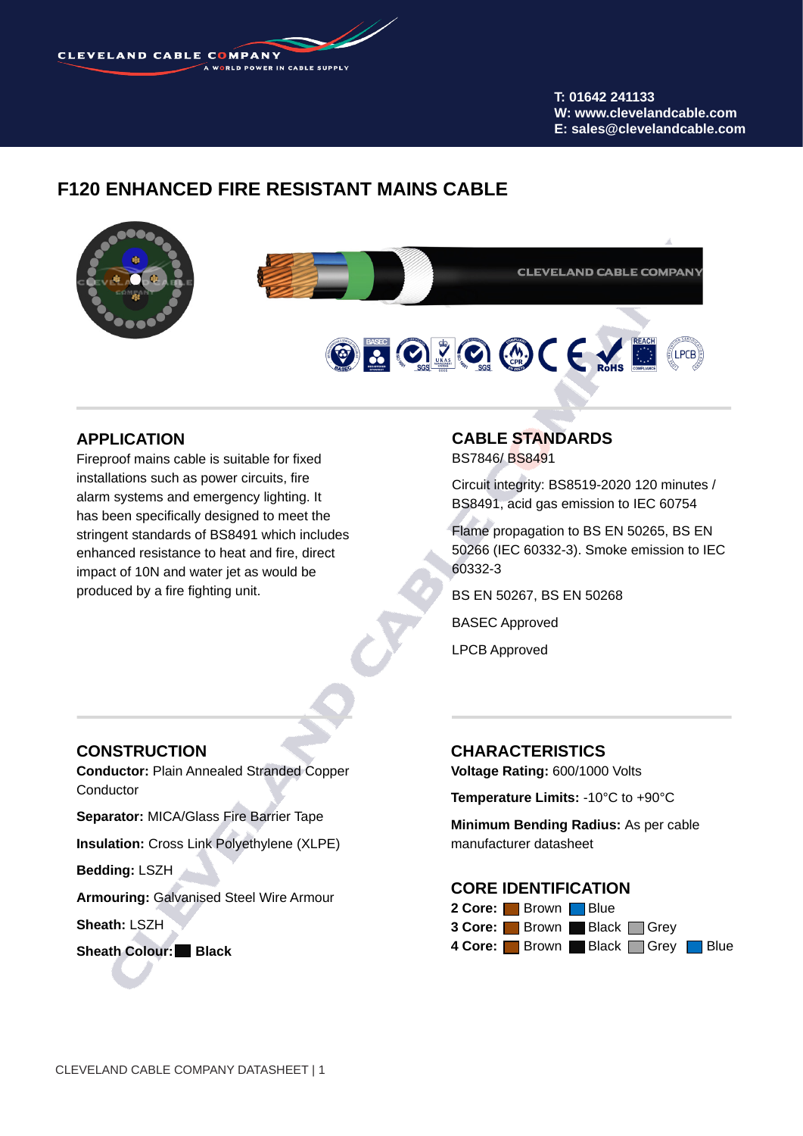**CLEVELAND CABLE COMPANY** 

**T: 01642 241133 W: www.clevelandcable.com E: sales@clevelandcable.com**

# **F120 ENHANCED FIRE RESISTANT MAINS CABLE**



### **APPLICATION**

Fireproof mains cable is suitable for fixed installations such as power circuits, fire alarm systems and emergency lighting. It has been specifically designed to meet the stringent standards of BS8491 which includes enhanced resistance to heat and fire, direct impact of 10N and water jet as would be produced by a fire fighting unit.

### **CONSTRUCTION**

**Conductor:** Plain Annealed Stranded Copper Conductor

**Separator:** MICA/Glass Fire Barrier Tape

**Insulation:** Cross Link Polyethylene (XLPE)

**Bedding:** LSZH

**Armouring:** Galvanised Steel Wire Armour

**Sheath:** LSZH

**Sheath Colour: Black**

#### **CABLE STANDARDS** BS7846/ BS8491

Circuit integrity: BS8519-2020 120 minutes / BS8491, acid gas emission to IEC 60754

Flame propagation to BS EN 50265, BS EN 50266 (IEC 60332-3). Smoke emission to IEC 60332-3

BS EN 50267, BS EN 50268

BASEC Approved

LPCB Approved

### **CHARACTERISTICS**

**Voltage Rating:** 600/1000 Volts

**Temperature Limits:** -10°C to +90°C

**Minimum Bending Radius:** As per cable manufacturer datasheet

#### **CORE IDENTIFICATION**

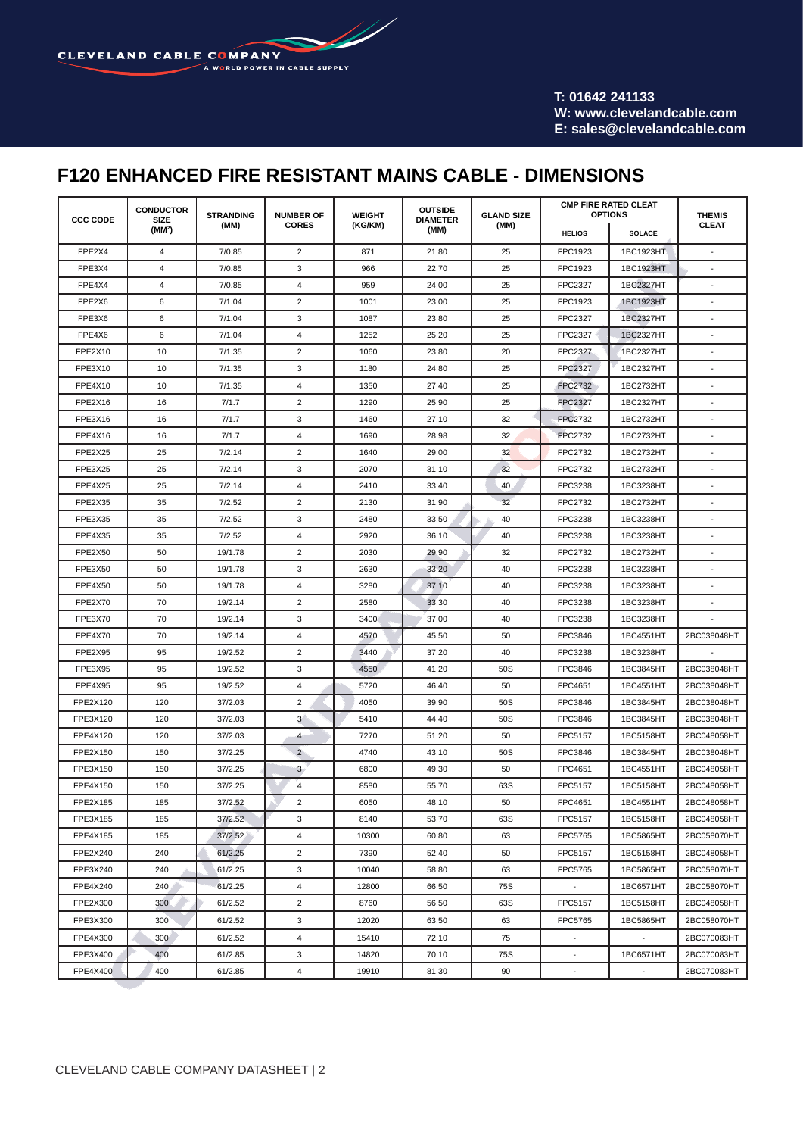W CLEVELAND CABLE COMPANY A WORLD POWER IN CABLE SUPPLY

> **T: 01642 241133 W: www.clevelandcable.com E: sales@clevelandcable.com**

# **F120 ENHANCED FIRE RESISTANT MAINS CABLE - DIMENSIONS**

| <b>CCC CODE</b> | <b>CONDUCTOR</b><br><b>SIZE</b><br>(MM <sup>2</sup> ) | <b>STRANDING</b><br>(MM) | <b>NUMBER OF</b><br><b>CORES</b> | <b>WEIGHT</b><br>(KG/KM) | <b>OUTSIDE</b><br><b>DIAMETER</b><br>(MM) | <b>GLAND SIZE</b><br>(MM) | <b>CMP FIRE RATED CLEAT</b><br><b>OPTIONS</b> |               | <b>THEMIS</b> |
|-----------------|-------------------------------------------------------|--------------------------|----------------------------------|--------------------------|-------------------------------------------|---------------------------|-----------------------------------------------|---------------|---------------|
|                 |                                                       |                          |                                  |                          |                                           |                           | <b>HELIOS</b>                                 | <b>SOLACE</b> | <b>CLEAT</b>  |
| FPE2X4          | 4                                                     | 7/0.85                   | 2                                | 871                      | 21.80                                     | 25                        | FPC1923                                       | 1BC1923HT     |               |
| FPE3X4          | 4                                                     | 7/0.85                   | 3                                | 966                      | 22.70                                     | 25                        | FPC1923                                       | 1BC1923HT     |               |
| FPE4X4          | 4                                                     | 7/0.85                   | 4                                | 959                      | 24.00                                     | 25                        | <b>FPC2327</b>                                | 1BC2327HT     |               |
| FPE2X6          | 6                                                     | 7/1.04                   | $\overline{2}$                   | 1001                     | 23.00                                     | 25                        | FPC1923                                       | 1BC1923HT     |               |
| FPE3X6          | 6                                                     | 7/1.04                   | 3                                | 1087                     | 23.80                                     | 25                        | FPC2327                                       | 1BC2327HT     |               |
| FPE4X6          | 6                                                     | 7/1.04                   | 4                                | 1252                     | 25.20                                     | 25                        | <b>FPC2327</b>                                | 1BC2327HT     |               |
| FPE2X10         | 10                                                    | 7/1.35                   | 2                                | 1060                     | 23.80                                     | 20                        | <b>FPC2327</b>                                | 1BC2327HT     |               |
| FPE3X10         | 10                                                    | 7/1.35                   | 3                                | 1180                     | 24.80                                     | 25                        | <b>FPC2327</b>                                | 1BC2327HT     |               |
| FPE4X10         | 10                                                    | 7/1.35                   | 4                                | 1350                     | 27.40                                     | 25                        | <b>FPC2732</b>                                | 1BC2732HT     |               |
| FPE2X16         | 16                                                    | 7/1.7                    | 2                                | 1290                     | 25.90                                     | 25                        | <b>FPC2327</b>                                | 1BC2327HT     |               |
| FPE3X16         | 16                                                    | 7/1.7                    | 3                                | 1460                     | 27.10                                     | 32                        | <b>FPC2732</b>                                | 1BC2732HT     |               |
| FPE4X16         | 16                                                    | 7/1.7                    | 4                                | 1690                     | 28.98                                     | 32                        | <b>FPC2732</b>                                | 1BC2732HT     |               |
| FPE2X25         | 25                                                    | 7/2.14                   | 2                                | 1640                     | 29.00                                     | 32                        | FPC2732                                       | 1BC2732HT     |               |
| FPE3X25         | 25                                                    | 7/2.14                   | 3                                | 2070                     | 31.10                                     | 32                        | FPC2732                                       | 1BC2732HT     |               |
| FPE4X25         | 25                                                    | 7/2.14                   | $\overline{4}$                   | 2410                     | 33.40                                     | 40                        | FPC3238                                       | 1BC3238HT     |               |
| FPE2X35         | 35                                                    | 7/2.52                   | $\overline{c}$                   | 2130                     | 31.90                                     | 32                        | FPC2732                                       | 1BC2732HT     |               |
| FPE3X35         | 35                                                    | 7/2.52                   | 3                                | 2480                     | 33.50                                     | 40                        | FPC3238                                       | 1BC3238HT     |               |
| FPE4X35         | 35                                                    | 7/2.52                   | $\overline{4}$                   | 2920                     | 36.10                                     | 40                        | FPC3238                                       | 1BC3238HT     |               |
| FPE2X50         | 50                                                    | 19/1.78                  | 2                                | 2030                     | 29.90                                     | 32                        | FPC2732                                       | 1BC2732HT     |               |
| FPE3X50         | 50                                                    | 19/1.78                  | 3                                | 2630                     | 33.20                                     | 40                        | FPC3238                                       | 1BC3238HT     |               |
| FPE4X50         | 50                                                    | 19/1.78                  | 4                                | 3280                     | 37.10                                     | 40                        | FPC3238                                       | 1BC3238HT     |               |
| FPE2X70         | 70                                                    | 19/2.14                  | 2                                | 2580                     | 33.30                                     | 40                        | FPC3238                                       | 1BC3238HT     |               |
| FPE3X70         | 70                                                    | 19/2.14                  | 3                                | 3400                     | 37.00                                     | 40                        | FPC3238                                       | 1BC3238HT     |               |
| FPE4X70         | 70                                                    | 19/2.14                  | 4                                | 4570                     | 45.50                                     | 50                        | <b>FPC3846</b>                                | 1BC4551HT     | 2BC038048HT   |
| FPE2X95         | 95                                                    | 19/2.52                  | 2                                | 3440                     | 37.20                                     | 40                        | FPC3238                                       | 1BC3238HT     |               |
| FPE3X95         | 95                                                    | 19/2.52                  | 3                                | 4550                     | 41.20                                     | 50S                       | <b>FPC3846</b>                                | 1BC3845HT     | 2BC038048HT   |
| FPE4X95         | 95                                                    | 19/2.52                  | $\overline{4}$                   | 5720                     | 46.40                                     | 50                        | FPC4651                                       | 1BC4551HT     | 2BC038048HT   |
| FPE2X120        | 120                                                   | 37/2.03                  | $\overline{2}$                   | 4050                     | 39.90                                     | 50S                       | <b>FPC3846</b>                                | 1BC3845HT     | 2BC038048HT   |
| FPE3X120        | 120                                                   | 37/2.03                  | 3                                | 5410                     | 44.40                                     | 50S                       | <b>FPC3846</b>                                | 1BC3845HT     | 2BC038048HT   |
| FPE4X120        | 120                                                   | 37/2.03                  | 4                                | 7270                     | 51.20                                     | 50                        | <b>FPC5157</b>                                | 1BC5158HT     | 2BC048058HT   |
| FPE2X150        | 150                                                   | 37/2.25                  | $\overline{2}$                   | 4740                     | 43.10                                     | 50S                       | <b>FPC3846</b>                                | 1BC3845HT     | 2BC038048HT   |
| FPE3X150        | 150                                                   | 37/2.25                  | 3                                | 6800                     | 49.30                                     | 50                        | FPC4651                                       | 1BC4551HT     | 2BC048058HT   |
| FPE4X150        | 150                                                   | 37/2.25                  | $\overline{4}$                   | 8580                     | 55.70                                     | 63S                       | <b>FPC5157</b>                                | 1BC5158HT     | 2BC048058HT   |
| FPE2X185        | 185                                                   | 37/2.52                  | 2                                | 6050                     | 48.10                                     | 50                        | FPC4651                                       | 1BC4551HT     | 2BC048058HT   |
| FPE3X185        | 185                                                   | 37/2.52                  | 3                                | 8140                     | 53.70                                     | 63S                       | FPC5157                                       | 1BC5158HT     | 2BC048058HT   |
| FPE4X185        | 185                                                   | 37/2.52                  | $\overline{4}$                   | 10300                    | 60.80                                     | 63                        | FPC5765                                       | 1BC5865HT     | 2BC058070HT   |
| FPE2X240        | 240                                                   | 61/2.25                  | $\overline{2}$                   | 7390                     | 52.40                                     | 50                        | FPC5157                                       | 1BC5158HT     | 2BC048058HT   |
| FPE3X240        | 240                                                   | 61/2.25                  | 3                                | 10040                    | 58.80                                     | 63                        | FPC5765                                       | 1BC5865HT     | 2BC058070HT   |
| FPE4X240        | 240                                                   | 61/2.25                  | 4                                | 12800                    | 66.50                                     | 75S                       | $\blacksquare$                                | 1BC6571HT     | 2BC058070HT   |
| FPE2X300        | 300                                                   | 61/2.52                  | $\overline{2}$                   | 8760                     | 56.50                                     | 63S                       | FPC5157                                       | 1BC5158HT     | 2BC048058HT   |
| FPE3X300        | 300                                                   | 61/2.52                  | 3                                | 12020                    | 63.50                                     | 63                        | FPC5765                                       | 1BC5865HT     | 2BC058070HT   |
| FPE4X300        | 300                                                   | 61/2.52                  | $\overline{4}$                   | 15410                    | 72.10                                     | 75                        |                                               |               | 2BC070083HT   |
| FPE3X400        | 400                                                   | 61/2.85                  | 3                                | 14820                    | 70.10                                     | 75S                       |                                               | 1BC6571HT     | 2BC070083HT   |
| <b>FPE4X400</b> | 400                                                   | 61/2.85                  | 4                                | 19910                    | 81.30                                     | 90                        |                                               |               | 2BC070083HT   |